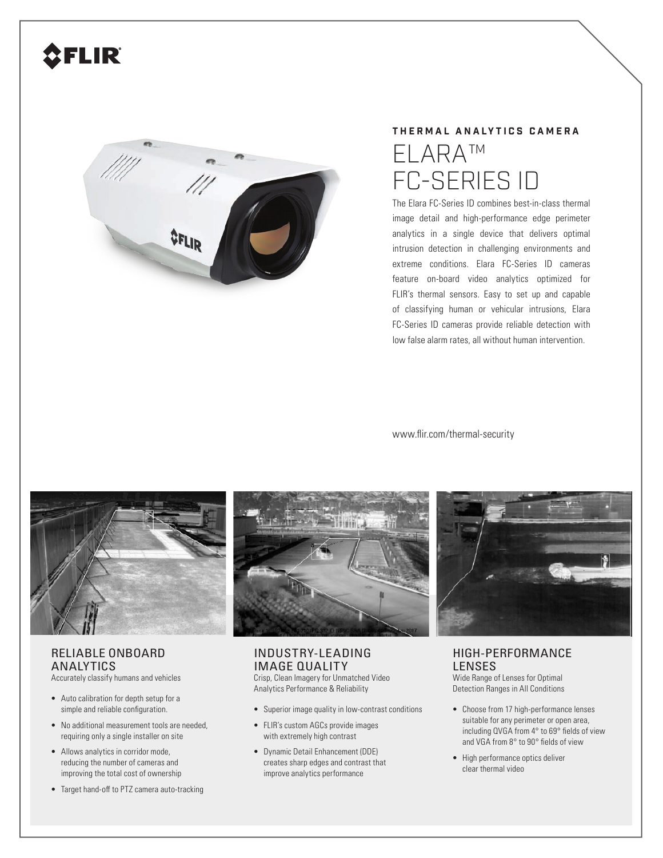# FLIR



## **THERMAL ANALYTICS CAMERA** ELARA™ FC-SERIES ID

The Elara FC-Series ID combines best-in-class thermal image detail and high-performance edge perimeter analytics in a single device that delivers optimal intrusion detection in challenging environments and extreme conditions. Elara FC-Series ID cameras feature on-board video analytics optimized for FLIR's thermal sensors. Easy to set up and capable of classifying human or vehicular intrusions, Elara FC-Series ID cameras provide reliable detection with low false alarm rates, all without human intervention.

www.flir.com/thermal-security



### RELIABLE ONBOARD ANALYTICS

Accurately classify humans and vehicles

- Auto calibration for depth setup for a simple and reliable configuration.
- No additional measurement tools are needed, requiring only a single installer on site
- Allows analytics in corridor mode, reducing the number of cameras and improving the total cost of ownership
- Target hand-off to PTZ camera auto-tracking



#### INDUSTRY-LEADING IMAGE QUALITY

Crisp, Clean Imagery for Unmatched Video Analytics Performance & Reliability

- Superior image quality in low-contrast conditions
- FLIR's custom AGCs provide images with extremely high contrast
- Dynamic Detail Enhancement (DDE) creates sharp edges and contrast that improve analytics performance



#### HIGH-PERFORMANCE LENSES

Wide Range of Lenses for Optimal Detection Ranges in All Conditions

- Choose from 17 high-performance lenses suitable for any perimeter or open area, including QVGA from 4° to 69° fields of view and VGA from 8° to 90° fields of view
- High performance optics deliver clear thermal video